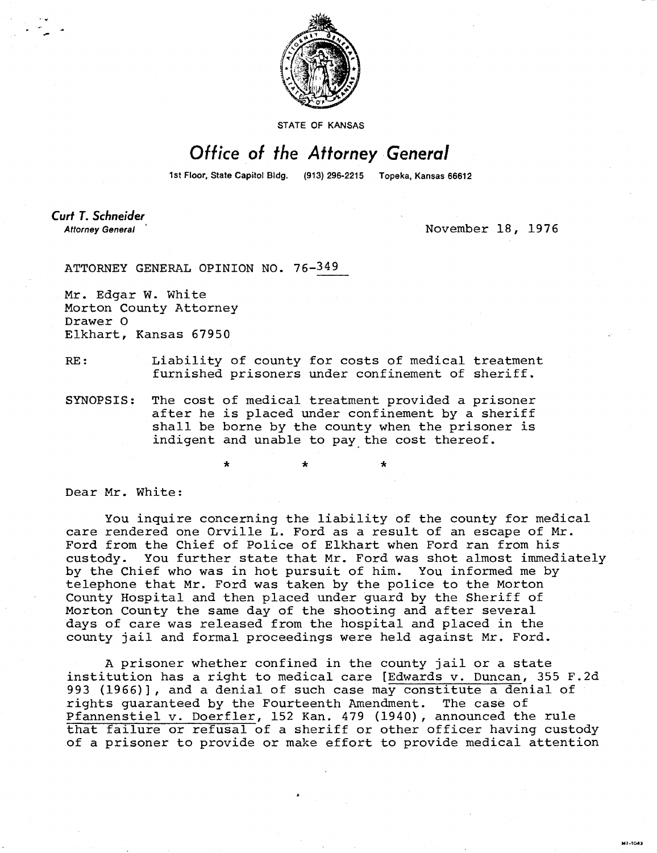

STATE OF KANSAS

## Office of the Attorney General

1st Floor, State Capitol Bldg. (913) 296-2215 Topeka, Kansas 66612

Curt T. Schneider **Attorney General** 

November 18, 1976

MI-T043

ATTORNEY GENERAL OPINION NO. 76-349

\*

Mr. Edgar W. White Morton County Attorney Drawer 0 Elkhart, Kansas 67950

RE: Liability of county for costs of medical treatment furnished prisoners under confinement of sheriff.

SYNOPSIS: The cost of medical treatment provided a prisoner after he is placed under confinement by a sheriff shall be borne by the county when the prisoner is indigent and unable to pay the cost thereof.

Dear Mr. White:

You inquire concerning the liability of the county for medical care rendered one Orville L. Ford as a result of an escape of Mr. Ford from the Chief of Police of Elkhart when Ford ran from his custody. You further state that Mr. Ford was shot almost immediately by the Chief who was in hot pursuit of him. You informed me by telephone that Mr. Ford was taken by the police to the Morton County Hospital and then placed under guard by the Sheriff of Morton County the same day of the shooting and after several days of care was released from the hospital and placed in the county jail and formal proceedings were held against Mr. Ford.

A prisoner whether confined in the county jail or a state institution has a right to medical care [Edwards v. Duncan, 355 F.2d 993 (1966)], and a denial of such case may constitute a denial of rights guaranteed by the Fourteenth Amendment. The case of Pfannenstiel v. Doerfler, 152 Kan. 479 (1940), announced the rule that failure or refusal of a sheriff or other officer having custody of a prisoner to provide or make effort to provide medical attention